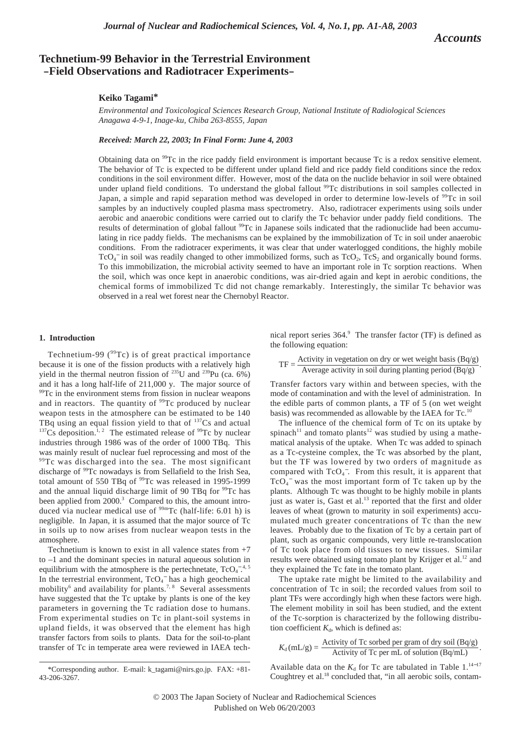*Accounts*

# **Technetium-99 Behavior in the Terrestrial Environment -Field Observations and Radiotracer Experiments-**

# **Keiko Tagami\***

*Environmental and Toxicological Sciences Research Group, National Institute of Radiological Sciences Anagawa 4-9-1, Inage-ku, Chiba 263-8555, Japan*

*Received: March 22, 2003; In Final Form: June 4, 2003*

Obtaining data on <sup>99</sup>Tc in the rice paddy field environment is important because Tc is a redox sensitive element. The behavior of Tc is expected to be different under upland field and rice paddy field conditions since the redox conditions in the soil environment differ. However, most of the data on the nuclide behavior in soil were obtained under upland field conditions. To understand the global fallout <sup>99</sup>Tc distributions in soil samples collected in Japan, a simple and rapid separation method was developed in order to determine low-levels of <sup>99</sup>Tc in soil samples by an inductively coupled plasma mass spectrometry. Also, radiotracer experiments using soils under aerobic and anaerobic conditions were carried out to clarify the Tc behavior under paddy field conditions. The results of determination of global fallout <sup>99</sup>Tc in Japanese soils indicated that the radionuclide had been accumulating in rice paddy fields. The mechanisms can be explained by the immobilization of Tc in soil under anaerobic conditions. From the radiotracer experiments, it was clear that under waterlogged conditions, the highly mobile TcO<sub>4</sub><sup>-</sup> in soil was readily changed to other immobilized forms, such as TcO<sub>2</sub>, TcS<sub>2</sub> and organically bound forms. To this immobilization, the microbial activity seemed to have an important role in Tc sorption reactions. When the soil, which was once kept in anaerobic conditions, was air-dried again and kept in aerobic conditions, the chemical forms of immobilized Tc did not change remarkably. Interestingly, the similar Tc behavior was observed in a real wet forest near the Chernobyl Reactor.

## **1. Introduction**

Technetium-99 ( $99Tc$ ) is of great practical importance because it is one of the fission products with a relatively high yield in the thermal neutron fission of  $^{235}$ U and  $^{239}$ Pu (ca. 6%) and it has a long half-life of 211,000 y. The major source of  $99$ <sup>99</sup>Tc in the environment stems from fission in nuclear weapons and in reactors. The quantity of <sup>99</sup>Tc produced by nuclear weapon tests in the atmosphere can be estimated to be 140 TBq using an equal fission yield to that of  $137Cs$  and actual  $137Cs$  deposition.<sup>1, 2</sup> The estimated release of <sup>99</sup>Tc by nuclear industries through 1986 was of the order of 1000 TBq. This was mainly result of nuclear fuel reprocessing and most of the <sup>99</sup>Tc was discharged into the sea. The most significant discharge of <sup>99</sup>Tc nowadays is from Sellafield to the Irish Sea, total amount of 550 TBq of <sup>99</sup>Tc was released in 1995-1999 and the annual liquid discharge limit of 90 TBq for  $\rm{^{99}Tc}$  has been applied from 2000.<sup>3</sup> Compared to this, the amount introduced via nuclear medical use of <sup>99m</sup>Tc (half-life: 6.01 h) is negligible. In Japan, it is assumed that the major source of Tc in soils up to now arises from nuclear weapon tests in the atmosphere.

Technetium is known to exist in all valence states from  $+7$ to –1 and the dominant species in natural aqueous solution in equilibrium with the atmosphere is the pertechnetate,  $TcO<sub>4</sub><sup>-4, 5</sup>$ In the terrestrial environment,  $TcO<sub>4</sub>$  has a high geochemical mobility<sup>6</sup> and availability for plants.<sup>7, 8</sup> Several assessments have suggested that the Tc uptake by plants is one of the key parameters in governing the Tc radiation dose to humans. From experimental studies on Tc in plant-soil systems in upland fields, it was observed that the element has high transfer factors from soils to plants. Data for the soil-to-plant transfer of Tc in temperate area were reviewed in IAEA technical report series 364.9 The transfer factor (TF) is defined as the following equation:

TF =  $\frac{\text{Activity in vegetation on dry or wet weight basis (Bq/g)}}{\text{Answers within cell theories, clustering with a solid.}$ Average activity in soil during planting period (Bq/g)

Transfer factors vary within and between species, with the mode of contamination and with the level of administration. In the edible parts of common plants, a TF of 5 (on wet weight basis) was recommended as allowable by the IAEA for Tc.<sup>10</sup>

The influence of the chemical form of Tc on its uptake by  $spinach<sup>11</sup>$  and tomato plants<sup>12</sup> was studied by using a mathematical analysis of the uptake. When Tc was added to spinach as a Tc-cysteine complex, the Tc was absorbed by the plant, but the TF was lowered by two orders of magnitude as compared with  $TcO<sub>4</sub>$ . From this result, it is apparent that  $TcO<sub>4</sub>$  was the most important form of Tc taken up by the plants. Although Tc was thought to be highly mobile in plants just as water is, Gast et al.<sup>13</sup> reported that the first and older leaves of wheat (grown to maturity in soil experiments) accumulated much greater concentrations of Tc than the new leaves. Probably due to the fixation of Tc by a certain part of plant, such as organic compounds, very little re-translocation of Tc took place from old tissues to new tissues. Similar results were obtained using tomato plant by Krijger et al.<sup>12</sup> and they explained the Tc fate in the tomato plant.

The uptake rate might be limited to the availability and concentration of Tc in soil; the recorded values from soil to plant TFs were accordingly high when these factors were high. The element mobility in soil has been studied, and the extent of the Tc-sorption is characterized by the following distribution coefficient  $K_d$ , which is defined as:

$$
K_{\rm d}(\rm mL/g) = \frac{\rm Activity\ of\ Tc\ sorbed\ per\ gram\ of\ dry\ soil\ (Bq/g)}{\rm Activity\ of\ Tc\ per\ mL\ of\ solution\ (Bq/mL)}.
$$

Available data on the  $K_d$  for Tc are tabulated in Table 1.<sup>14−17</sup> Coughtrey et al.<sup>18</sup> concluded that, "in all aerobic soils, contam-

<sup>\*</sup>Corresponding author. E-mail: k\_tagami@nirs.go.jp. FAX: +81- 43-206-3267.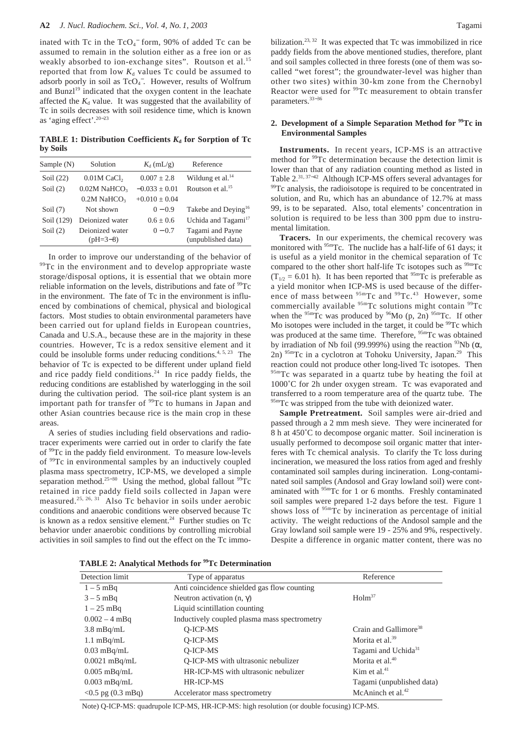inated with Tc in the  $TcO<sub>4</sub><sup>-</sup>$  form, 90% of added Tc can be assumed to remain in the solution either as a free ion or as weakly absorbed to ion-exchange sites". Routson et al.<sup>15</sup> reported that from low  $K_d$  values Tc could be assumed to adsorb poorly in soil as TcO<sub>4</sub><sup>-</sup>. However, results of Wolfrum and Bunzl<sup>19</sup> indicated that the oxygen content in the leachate affected the  $K_d$  value. It was suggested that the availability of Tc in soils decreases with soil residence time, which is known as 'aging effect'. 20−23

**TABLE 1: Distribution Coefficients**  $K_d$  **for Sorption of Tc by Soils**

| Sample $(N)$ | Solution                      | $K_{d}$ (mL/g)    | Reference                              |
|--------------|-------------------------------|-------------------|----------------------------------------|
| Soil $(22)$  | $0.01M$ CaCl <sub>2</sub>     | $0.007 + 2.8$     | Wildung et al. $^{14}$                 |
| Soil $(2)$   | $0.02M$ NaHCO <sub>3</sub>    | $-0.033 \pm 0.01$ | Routson et al. $^{15}$                 |
|              | $0.2M$ NaHCO <sub>3</sub>     | $+0.010 + 0.04$   |                                        |
| Soil $(7)$   | Not shown                     | $0 - 0.9$         | Takebe and Deving <sup>16</sup>        |
| Soil (129)   | Deionized water               | $0.6 + 0.6$       | Uchida and Tagami <sup>17</sup>        |
| Soil $(2)$   | Deionized water<br>$(pH=3-8)$ | $0 - 0.7$         | Tagami and Payne<br>(unpublished data) |

In order to improve our understanding of the behavior of <sup>99</sup>Tc in the environment and to develop appropriate waste storage/disposal options, it is essential that we obtain more reliable information on the levels, distributions and fate of  $\rm{^{99}Tc}$ in the environment. The fate of Tc in the environment is influenced by combinations of chemical, physical and biological factors. Most studies to obtain environmental parameters have been carried out for upland fields in European countries, Canada and U.S.A., because these are in the majority in these countries. However, Tc is a redox sensitive element and it could be insoluble forms under reducing conditions.<sup>4, 5, 23</sup> The behavior of Tc is expected to be different under upland field and rice paddy field conditions.<sup>24</sup> In rice paddy fields, the reducing conditions are established by waterlogging in the soil during the cultivation period. The soil-rice plant system is an important path for transfer of <sup>99</sup>Tc to humans in Japan and other Asian countries because rice is the main crop in these areas.

A series of studies including field observations and radiotracer experiments were carried out in order to clarify the fate of 99Tc in the paddy field environment. To measure low-levels of 99Tc in environmental samples by an inductively coupled plasma mass spectrometry, ICP-MS, we developed a simple separation method.<sup>25–30</sup> Using the method, global fallout <sup>99</sup>Tc retained in rice paddy field soils collected in Japan were measured.25, 26, 31 Also Tc behavior in soils under aerobic conditions and anaerobic conditions were observed because Tc is known as a redox sensitive element.<sup>24</sup> Further studies on Tc behavior under anaerobic conditions by controlling microbial activities in soil samples to find out the effect on the Tc immobilization.<sup>23, 32</sup> It was expected that Tc was immobilized in rice paddy fields from the above mentioned studies, therefore, plant and soil samples collected in three forests (one of them was socalled "wet forest"; the groundwater-level was higher than other two sites) within 30-km zone from the Chernobyl Reactor were used for <sup>99</sup>Tc measurement to obtain transfer parameters.33−<sup>36</sup>

## **2. Development of a Simple Separation Method for 99Tc in Environmental Samples**

**Instruments.** In recent years, ICP-MS is an attractive method for <sup>99</sup>Tc determination because the detection limit is lower than that of any radiation counting method as listed in Table 2.31, 37−<sup>42</sup> Although ICP-MS offers several advantages for <sup>99</sup>Tc analysis, the radioisotope is required to be concentrated in solution, and Ru, which has an abundance of 12.7% at mass 99, is to be separated. Also, total elements' concentration in solution is required to be less than 300 ppm due to instrumental limitation.

**Tracers.** In our experiments, the chemical recovery was monitored with <sup>95m</sup>Tc. The nuclide has a half-life of 61 days; it is useful as a yield monitor in the chemical separation of Tc compared to the other short half-life Tc isotopes such as  $\frac{99 \text{m}}{2}$ Tc  $(T_{1/2} = 6.01 \text{ h})$ . It has been reported that <sup>95m</sup>Tc is preferable as a yield monitor when ICP-MS is used because of the difference of mass between  $95m$ Tc and  $99Tc.<sup>43</sup>$  However, some commercially available <sup>95m</sup>Tc solutions might contain <sup>99</sup>Tc when the  $95m$ Tc was produced by  $96M$ o (p, 2n)  $95m$ Tc. If other Mo isotopes were included in the target, it could be  $99Tc$  which was produced at the same time. Therefore, <sup>95m</sup>Tc was obtained by irradiation of Nb foil (99.999%) using the reaction  $93Nb$  ( $\alpha$ , 2n) <sup>95m</sup>Tc in a cyclotron at Tohoku University, Japan.<sup>29</sup> This reaction could not produce other long-lived Tc isotopes. Then 95mTc was separated in a quartz tube by heating the foil at 1000˚C for 2h under oxygen stream. Tc was evaporated and transferred to a room temperature area of the quartz tube. The <sup>95m</sup>Tc was stripped from the tube with deionized water.

**Sample Pretreatment.** Soil samples were air-dried and passed through a 2 mm mesh sieve. They were incinerated for 8 h at 450˚C to decompose organic matter. Soil incineration is usually performed to decompose soil organic matter that interferes with Tc chemical analysis. To clarify the Tc loss during incineration, we measured the loss ratios from aged and freshly contaminated soil samples during incineration. Long-contaminated soil samples (Andosol and Gray lowland soil) were contaminated with <sup>95m</sup>Tc for 1 or 6 months. Freshly contaminated soil samples were prepared 1-2 days before the test. Figure 1 shows loss of <sup>95m</sup>Tc by incineration as percentage of initial activity. The weight reductions of the Andosol sample and the Gray lowland soil sample were 19 - 25% and 9%, respectively. Despite a difference in organic matter content, there was no

**TABLE 2: Analytical Methods for 99Tc Determination**

| Type of apparatus                            | Reference                         |
|----------------------------------------------|-----------------------------------|
| Anti coincidence shielded gas flow counting  |                                   |
| Neutron activation $(n, \gamma)$             | $H$ olm <sup>37</sup>             |
| Liquid scintillation counting                |                                   |
| Inductively coupled plasma mass spectrometry |                                   |
| O-ICP-MS                                     | Crain and Gallimore <sup>38</sup> |
| O-ICP-MS                                     | Morita et al. $39$                |
| O-ICP-MS                                     | Tagami and Uchida <sup>31</sup>   |
| Q-ICP-MS with ultrasonic nebulizer           | Morita et al. $40$                |
| HR-ICP-MS with ultrasonic nebulizer          | Kim et al. $41$                   |
| HR-ICP-MS                                    | Tagami (unpublished data)         |
| Accelerator mass spectrometry                | McAninch et al. $42$              |
|                                              |                                   |

Note) Q-ICP-MS: quadrupole ICP-MS, HR-ICP-MS: high resolution (or double focusing) ICP-MS.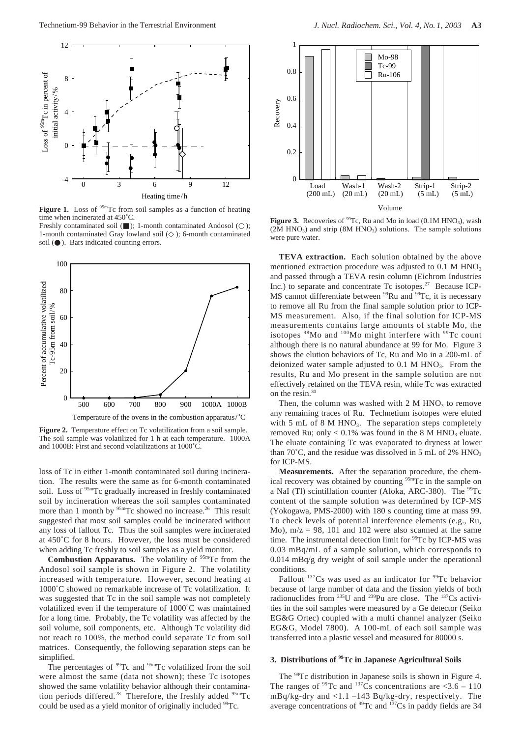

Figure 1. Loss of <sup>95m</sup>Tc from soil samples as a function of heating time when incinerated at 450˚C.

Freshly contaminated soil ( ); 1-month contaminated Andosol ( 1-month contaminated Gray lowland soil ( ); 6-month contaminated soil ( ). Bars indicated counting errors.



Figure 2. Temperature effect on Tc volatilization from a soil sample. The soil sample was volatilized for 1 h at each temperature. 1000A and 1000B: First and second volatilizations at 1000˚C.

loss of Tc in either 1-month contaminated soil during incineration. The results were the same as for 6-month contaminated soil. Loss of <sup>95m</sup>Tc gradually increased in freshly contaminated soil by incineration whereas the soil samples contaminated more than 1 month by <sup>95m</sup>Tc showed no increase.<sup>26</sup> This result suggested that most soil samples could be incinerated without any loss of fallout Tc. Thus the soil samples were incinerated at 450˚C for 8 hours. However, the loss must be considered when adding Tc freshly to soil samples as a yield monitor.

**Combustion Apparatus.** The volatility of <sup>95m</sup>Tc from the Andosol soil sample is shown in Figure 2. The volatility increased with temperature. However, second heating at 1000˚C showed no remarkable increase of Tc volatilization. It was suggested that Tc in the soil sample was not completely volatilized even if the temperature of 1000˚C was maintained for a long time. Probably, the Tc volatility was affected by the soil volume, soil components, etc. Although Tc volatility did not reach to 100%, the method could separate Tc from soil matrices. Consequently, the following separation steps can be simplified.

The percentages of <sup>99</sup>Tc and <sup>95m</sup>Tc volatilized from the soil were almost the same (data not shown); these Tc isotopes showed the same volatility behavior although their contamination periods differed.<sup>28</sup> Therefore, the freshly added <sup>95m</sup>Tc could be used as a yield monitor of originally included <sup>99</sup>Tc.



**Figure 3.** Recoveries of  $^{99}$ Tc, Ru and Mo in load (0.1M HNO<sub>3</sub>), wash  $(2M HNO<sub>3</sub>)$  and strip  $(8M HNO<sub>3</sub>)$  solutions. The sample solutions were pure water.

**TEVA extraction.** Each solution obtained by the above mentioned extraction procedure was adjusted to  $0.1 \text{ M HNO}_3$ and passed through a TEVA resin column (Eichrom Industries Inc.) to separate and concentrate Tc isotopes.<sup>27</sup> Because ICP-MS cannot differentiate between <sup>99</sup>Ru and <sup>99</sup>Tc, it is necessary to remove all Ru from the final sample solution prior to ICP-MS measurement. Also, if the final solution for ICP-MS measurements contains large amounts of stable Mo, the isotopes <sup>98</sup>Mo and <sup>100</sup>Mo might interfere with <sup>99</sup>Tc count although there is no natural abundance at 99 for Mo. Figure 3 shows the elution behaviors of Tc, Ru and Mo in a 200-mL of deionized water sample adjusted to  $0.1$  M HNO<sub>3</sub>. From the results, Ru and Mo present in the sample solution are not effectively retained on the TEVA resin, while Tc was extracted on the resin. $30$ 

Then, the column was washed with  $2 M HNO<sub>3</sub>$  to remove any remaining traces of Ru. Technetium isotopes were eluted with 5 mL of 8 M HNO<sub>3</sub>. The separation steps completely removed Ru; only <  $0.1\%$  was found in the 8 M HNO<sub>3</sub> eluate. The eluate containing Tc was evaporated to dryness at lower than  $70^{\circ}$ C, and the residue was dissolved in 5 mL of 2% HNO<sub>3</sub> for ICP-MS.

**Measurements.** After the separation procedure, the chemical recovery was obtained by counting <sup>95m</sup>Tc in the sample on a NaI (Tl) scintillation counter (Aloka, ARC-380). The  $^{99}$ Tc content of the sample solution was determined by ICP-MS (Yokogawa, PMS-2000) with 180 s counting time at mass 99. To check levels of potential interference elements (e.g., Ru, Mo),  $m/z = 98$ , 101 and 102 were also scanned at the same time. The instrumental detection limit for <sup>99</sup>Tc by ICP-MS was 0.03 mBq/mL of a sample solution, which corresponds to 0.014 mBq/g dry weight of soil sample under the operational conditions.

Fallout  $137Cs$  was used as an indicator for  $99Tc$  behavior because of large number of data and the fission yields of both radionuclides from 235U and 239Pu are close. The 137Cs activities in the soil samples were measured by a Ge detector (Seiko EG&G Ortec) coupled with a multi channel analyzer (Seiko EG&G, Model 7800). A 100-mL of each soil sample was transferred into a plastic vessel and measured for 80000 s.

# **3. Distributions of 99Tc in Japanese Agricultural Soils**

The <sup>99</sup>Tc distribution in Japanese soils is shown in Figure 4. The ranges of  $^{99}$ Tc and  $^{137}$ Cs concentrations are <3.6 – 110 mBq/kg-dry and <1.1 –143 Bq/kg-dry, respectively. The average concentrations of  $\frac{99}{2}$ c and  $\frac{137}{2}$ Cs in paddy fields are 34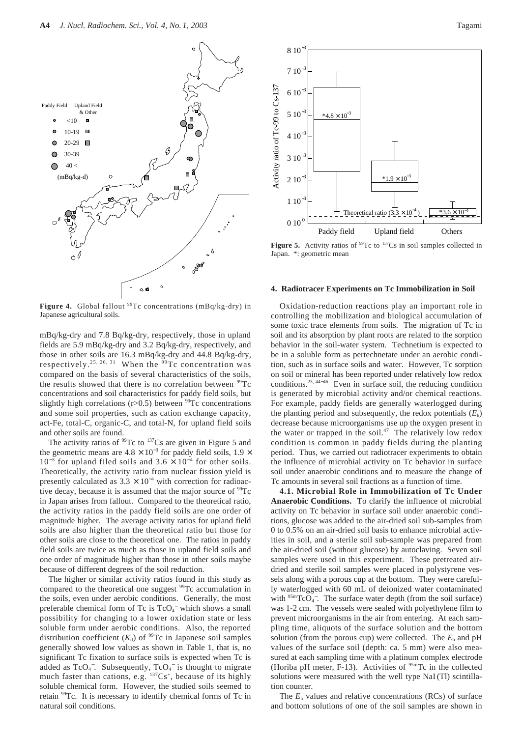

Figure 4. Global fallout <sup>99</sup>Tc concentrations (mBq/kg-dry) in Japanese agricultural soils.

mBq/kg-dry and 7.8 Bq/kg-dry, respectively, those in upland fields are 5.9 mBq/kg-dry and 3.2 Bq/kg-dry, respectively, and those in other soils are 16.3 mBq/kg-dry and 44.8 Bq/kg-dry, respectively.<sup>25, 26, 31</sup> When the  $99$ Tc concentration was compared on the basis of several characteristics of the soils, the results showed that there is no correlation between  $^{99}$ Tc concentrations and soil characteristics for paddy field soils, but slightly high correlations ( $r > 0.5$ ) between <sup>99</sup>Tc concentrations and some soil properties, such as cation exchange capacity, act-Fe, total-C, organic-C, and total-N, for upland field soils and other soils are found.

The activity ratios of  $99$ Tc to  $137$ Cs are given in Figure 5 and the geometric means are  $4.8 \times 10^{-3}$  for paddy field soils,  $1.9 \times$  $10^{-3}$  for upland filed soils and  $3.6 \times 10^{-4}$  for other soils. Theoretically, the activity ratio from nuclear fission yield is presently calculated as  $3.3 \times 10^{-4}$  with correction for radioactive decay, because it is assumed that the major source of  $\rm{^{99}Tc}$ in Japan arises from fallout. Compared to the theoretical ratio, the activity ratios in the paddy field soils are one order of magnitude higher. The average activity ratios for upland field soils are also higher than the theoretical ratio but those for other soils are close to the theoretical one. The ratios in paddy field soils are twice as much as those in upland field soils and one order of magnitude higher than those in other soils maybe because of different degrees of the soil reduction.

The higher or similar activity ratios found in this study as compared to the theoretical one suggest <sup>99</sup>Tc accumulation in the soils, even under aerobic conditions. Generally, the most preferable chemical form of Tc is  $TcO<sub>4</sub>$ <sup>-</sup> which shows a small possibility for changing to a lower oxidation state or less soluble form under aerobic conditions. Also, the reported distribution coefficient  $(K_d)$  of <sup>99</sup>Tc in Japanese soil samples generally showed low values as shown in Table 1, that is, no significant Tc fixation to surface soils is expected when Tc is added as  $TcO<sub>4</sub>$ . Subsequently,  $TcO<sub>4</sub>$  is thought to migrate much faster than cations, e.g.  $^{137}Cs^+$ , because of its highly soluble chemical form. However, the studied soils seemed to retain 99Tc. It is necessary to identify chemical forms of Tc in natural soil conditions.



**Figure 5.** Activity ratios of <sup>99</sup>Tc to <sup>137</sup>Cs in soil samples collected in Japan. \*: geometric mean

#### **4. Radiotracer Experiments on Tc Immobilization in Soil**

Oxidation-reduction reactions play an important role in controlling the mobilization and biological accumulation of some toxic trace elements from soils. The migration of Tc in soil and its absorption by plant roots are related to the sorption behavior in the soil-water system. Technetium is expected to be in a soluble form as pertechnetate under an aerobic condition, such as in surface soils and water. However, Tc sorption on soil or mineral has been reported under relatively low redox conditions.23, 44−<sup>46</sup> Even in surface soil, the reducing condition is generated by microbial activity and/or chemical reactions. For example, paddy fields are generally waterlogged during the planting period and subsequently, the redox potentials  $(E<sub>b</sub>)$ decrease because microorganisms use up the oxygen present in the water or trapped in the soil.<sup>47</sup> The relatively low redox condition is common in paddy fields during the planting period. Thus, we carried out radiotracer experiments to obtain the influence of microbial activity on Tc behavior in surface soil under anaerobic conditions and to measure the change of Tc amounts in several soil fractions as a function of time.

**4.1. Microbial Role in Immobilization of Tc Under Anaerobic Conditions.** To clarify the influence of microbial activity on Tc behavior in surface soil under anaerobic conditions, glucose was added to the air-dried soil sub-samples from 0 to 0.5% on an air-dried soil basis to enhance microbial activities in soil, and a sterile soil sub-sample was prepared from the air-dried soil (without glucose) by autoclaving. Seven soil samples were used in this experiment. These pretreated airdried and sterile soil samples were placed in polystyrene vessels along with a porous cup at the bottom. They were carefully waterlogged with 60 mL of deionized water contaminated with  $95mTcO<sub>4</sub>$ . The surface water depth (from the soil surface) was 1-2 cm. The vessels were sealed with polyethylene film to prevent microorganisms in the air from entering. At each sampling time, aliquots of the surface solution and the bottom solution (from the porous cup) were collected. The  $E_h$  and pH values of the surface soil (depth: ca. 5 mm) were also measured at each sampling time with a platinum complex electrode (Horiba pH meter,  $F-13$ ). Activities of  $95m$ Tc in the collected solutions were measured with the well type NaI (Tl) scintillation counter.

The *E*<sup>h</sup> values and relative concentrations (RCs) of surface and bottom solutions of one of the soil samples are shown in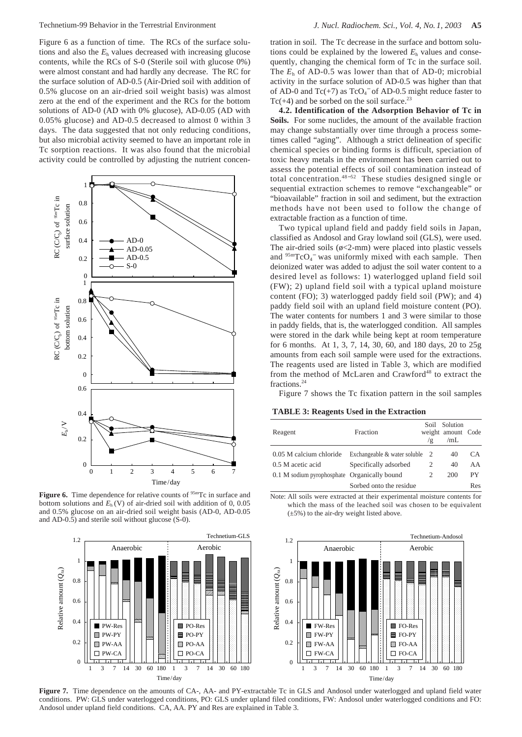Figure 6 as a function of time. The RCs of the surface solutions and also the  $E<sub>h</sub>$  values decreased with increasing glucose contents, while the RCs of S-0 (Sterile soil with glucose 0%) were almost constant and had hardly any decrease. The RC for the surface solution of AD-0.5 (Air-Dried soil with addition of 0.5% glucose on an air-dried soil weight basis) was almost zero at the end of the experiment and the RCs for the bottom solutions of AD-0 (AD with 0% glucose), AD-0.05 (AD with 0.05% glucose) and AD-0.5 decreased to almost 0 within 3 days. The data suggested that not only reducing conditions, but also microbial activity seemed to have an important role in Tc sorption reactions. It was also found that the microbial activity could be controlled by adjusting the nutrient concen-



Figure 6. Time dependence for relative counts of <sup>95m</sup>Tc in surface and bottom solutions and  $E<sub>h</sub>(V)$  of air-dried soil with addition of 0, 0.05 and 0.5% glucose on an air-dried soil weight basis (AD-0, AD-0.05 and AD-0.5) and sterile soil without glucose (S-0).



tration in soil. The Tc decrease in the surface and bottom solutions could be explained by the lowered  $E<sub>h</sub>$  values and consequently, changing the chemical form of Tc in the surface soil. The  $E_h$  of AD-0.5 was lower than that of AD-0; microbial activity in the surface solution of AD-0.5 was higher than that of AD-0 and  $Tc(+7)$  as  $TcO<sub>4</sub><sup>-</sup>$  of AD-0.5 might reduce faster to  $Tc(+4)$  and be sorbed on the soil surface.<sup>23</sup>

**4.2. Identification of the Adsorption Behavior of Tc in Soils.** For some nuclides, the amount of the available fraction may change substantially over time through a process sometimes called "aging". Although a strict delineation of specific chemical species or binding forms is difficult, speciation of toxic heavy metals in the environment has been carried out to assess the potential effects of soil contamination instead of total concentration.48−<sup>52</sup> These studies designed single or sequential extraction schemes to remove "exchangeable" or "bioavailable" fraction in soil and sediment, but the extraction methods have not been used to follow the change of extractable fraction as a function of time.

Two typical upland field and paddy field soils in Japan, classified as Andosol and Gray lowland soil (GLS), were used. The air-dried soils  $(\phi \leq 2$ -mm) were placed into plastic vessels and  $95mTcO<sub>4</sub>$  was uniformly mixed with each sample. Then deionized water was added to adjust the soil water content to a desired level as follows: 1) waterlogged upland field soil (FW); 2) upland field soil with a typical upland moisture content (FO); 3) waterlogged paddy field soil (PW); and 4) paddy field soil with an upland field moisture content (PO). The water contents for numbers 1 and 3 were similar to those in paddy fields, that is, the waterlogged condition. All samples were stored in the dark while being kept at room temperature for 6 months. At 1, 3, 7, 14, 30, 60, and 180 days, 20 to 25g amounts from each soil sample were used for the extractions. The reagents used are listed in Table 3, which are modified from the method of McLaren and Crawford<sup>48</sup> to extract the fractions.24

Figure 7 shows the Tc fixation pattern in the soil samples

### **TABLE 3: Reagents Used in the Extraction**

| Reagent                                      | Fraction                       | ′ ⊵ | Soil Solution<br>weight amount Code<br>/mL |     |
|----------------------------------------------|--------------------------------|-----|--------------------------------------------|-----|
| 0.05 M calcium chloride                      | Exchangeable & water soluble 2 |     | 40                                         | CA. |
| 0.5 M acetic acid                            | Specifically adsorbed          |     | 40                                         | AA  |
| 0.1 M sodium pyrophosphate Organically bound |                                | 2   | 200                                        | PY. |
|                                              | Sorbed onto the residue        |     |                                            | Res |

Note: All soils were extracted at their experimental moisture contents for which the mass of the leached soil was chosen to be equivalent  $(\pm 5\%)$  to the air-dry weight listed above.



**Figure 7.** Time dependence on the amounts of CA-, AA- and PY-extractable Tc in GLS and Andosol under waterlogged and upland field water conditions. PW: GLS under waterlogged conditions, PO: GLS under upland filed conditions, FW: Andosol under waterlogged conditions and FO: Andosol under upland field conditions. CA, AA. PY and Res are explained in Table 3.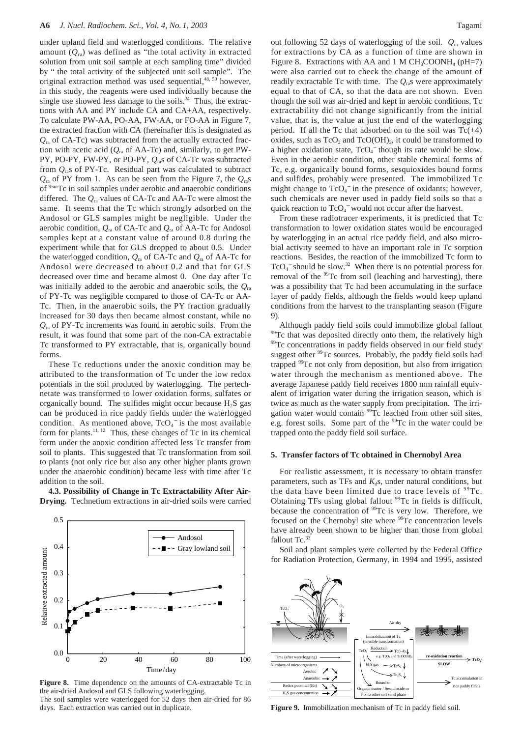under upland field and waterlogged conditions. The relative amount (*Q*ra) was defined as "the total activity in extracted solution from unit soil sample at each sampling time" divided by " the total activity of the subjected unit soil sample". The original extraction method was used sequential, $48, 50$  however, in this study, the reagents were used individually because the single use showed less damage to the soils.<sup>24</sup> Thus, the extractions with AA and PY include CA and CA+AA, respectively. To calculate PW-AA, PO-AA, FW-AA, or FO-AA in Figure 7, the extracted fraction with CA (hereinafter this is designated as  $Q_{r_0}$  of CA-Tc) was subtracted from the actually extracted fraction with acetic acid  $(Q_{ra}$  of AA-Tc) and, similarly, to get PW-PY, PO-PY, FW-PY, or PO-PY, *Q*ras of CA-Tc was subtracted from *Q*ras of PY-Tc. Residual part was calculated to subtract  $Q_{\text{ra}}$  of PY from 1. As can be seen from the Figure 7, the  $Q_{\text{ra}}$ s of 95mTc in soil samples under aerobic and anaerobic conditions differed. The *Q*ra values of CA-Tc and AA-Tc were almost the same. It seems that the Tc which strongly adsorbed on the Andosol or GLS samples might be negligible. Under the aerobic condition, *Q*ra of CA-Tc and *Q*ra of AA-Tc for Andosol samples kept at a constant value of around 0.8 during the experiment while that for GLS dropped to about 0.5. Under the waterlogged condition, *Q*ra of CA-Tc and *Q*ra of AA-Tc for Andosol were decreased to about 0.2 and that for GLS decreased over time and became almost 0. One day after Tc was initially added to the aerobic and anaerobic soils, the *Q*ra of PY-Tc was negligible compared to those of CA-Tc or AA-Tc. Then, in the anaerobic soils, the PY fraction gradually increased for 30 days then became almost constant, while no *Q*ra of PY-Tc increments was found in aerobic soils. From the result, it was found that some part of the non-CA extractable Tc transformed to PY extractable, that is, organically bound forms.

These Tc reductions under the anoxic condition may be attributed to the transformation of Tc under the low redox potentials in the soil produced by waterlogging. The pertechnetate was transformed to lower oxidation forms, sulfates or organically bound. The sulfides might occur because  $H_2S$  gas can be produced in rice paddy fields under the waterlogged condition. As mentioned above,  $TcO<sub>4</sub>$  is the most available form for plants.<sup>11, 12</sup> Thus, these changes of Tc in its chemical form under the anoxic condition affected less Tc transfer from soil to plants. This suggested that Tc transformation from soil to plants (not only rice but also any other higher plants grown under the anaerobic condition) became less with time after Tc addition to the soil.

**4.3. Possibility of Change in Tc Extractability After Air-Drying.** Technetium extractions in air-dried soils were carried



**Figure 8.** Time dependence on the amounts of CA-extractable Tc in the air-dried Andosol and GLS following waterlogging. The soil samples were waterlogged for 52 days then air-dried for 86

days. Each extraction was carried out in duplicate.

out following 52 days of waterlogging of the soil. *Q*ra values for extractions by CA as a function of time are shown in Figure 8. Extractions with AA and 1 M  $CH_3COONH_4$  (pH=7) were also carried out to check the change of the amount of readily extractable Tc with time. The  $Q_{\text{ra}}$ s were approximately equal to that of CA, so that the data are not shown. Even though the soil was air-dried and kept in aerobic conditions, Tc extractability did not change significantly from the initial value, that is, the value at just the end of the waterlogging period. If all the Tc that adsorbed on to the soil was  $Tc(+4)$ oxides, such as  $TcO<sub>2</sub>$  and  $TcO(OH)<sub>2</sub>$ , it could be transformed to a higher oxidation state,  $TcO<sub>4</sub><sup>-</sup>$  though its rate would be slow. Even in the aerobic condition, other stable chemical forms of Tc, e.g. organically bound forms, sesquioxides bound forms and sulfides, probably were presented. The immobilized Tc might change to  $TcO<sub>4</sub><sup>-</sup>$  in the presence of oxidants; however, such chemicals are never used in paddy field soils so that a quick reaction to  $TcO<sub>4</sub><sup>-</sup>$  would not occur after the harvest.

From these radiotracer experiments, it is predicted that Tc transformation to lower oxidation states would be encouraged by waterlogging in an actual rice paddy field, and also microbial activity seemed to have an important role in Tc sorption reactions. Besides, the reaction of the immobilized Tc form to  $TcO<sub>4</sub>$ <sup>-</sup> should be slow.<sup>32</sup> When there is no potential process for removal of the <sup>99</sup>Tc from soil (leaching and harvesting), there was a possibility that Tc had been accumulating in the surface layer of paddy fields, although the fields would keep upland conditions from the harvest to the transplanting season (Figure 9).

Although paddy field soils could immobilize global fallout <sup>99</sup>Tc that was deposited directly onto them, the relatively high <sup>99</sup>Tc concentrations in paddy fields observed in our field study suggest other <sup>99</sup>Tc sources. Probably, the paddy field soils had trapped 99Tc not only from deposition, but also from irrigation water through the mechanism as mentioned above. The average Japanese paddy field receives 1800 mm rainfall equivalent of irrigation water during the irrigation season, which is twice as much as the water supply from precipitation. The irrigation water would contain <sup>99</sup>Tc leached from other soil sites, e.g. forest soils. Some part of the <sup>99</sup>Tc in the water could be trapped onto the paddy field soil surface.

### **5. Transfer factors of Tc obtained in Chernobyl Area**

For realistic assessment, it is necessary to obtain transfer parameters, such as TFs and  $K_d$ s, under natural conditions, but the data have been limited due to trace levels of  $99Tc$ . Obtaining TFs using global fallout <sup>99</sup>Tc in fields is difficult, because the concentration of <sup>99</sup>Tc is very low. Therefore, we focused on the Chernobyl site where <sup>99</sup>Tc concentration levels have already been shown to be higher than those from global fallout Tc.<sup>33</sup>

Soil and plant samples were collected by the Federal Office for Radiation Protection, Germany, in 1994 and 1995, assisted



**Figure 9.** Immobilization mechanism of Tc in paddy field soil.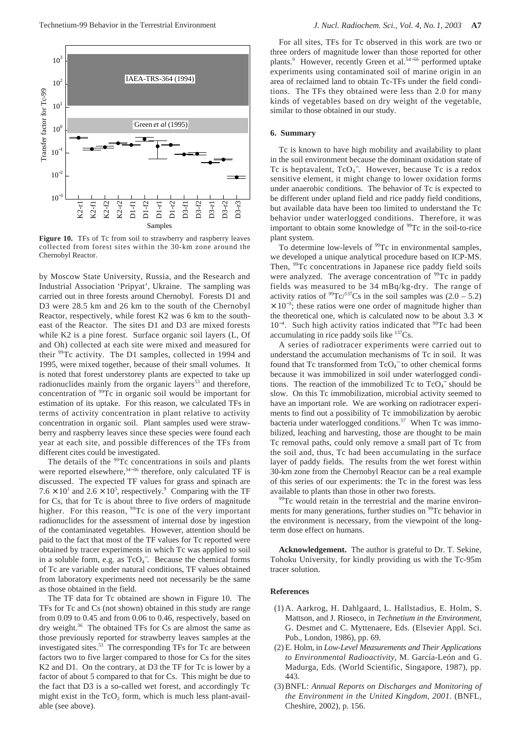

Figure 10. TFs of Tc from soil to strawberry and raspberry leaves collected from forest sites within the 30-km zone around the Chernobyl Reactor.

by Moscow State University, Russia, and the Research and Industrial Association 'Pripyat', Ukraine. The sampling was carried out in three forests around Chernobyl. Forests D1 and D3 were 28.5 km and 26 km to the south of the Chernobyl Reactor, respectively, while forest K2 was 6 km to the southeast of the Reactor. The sites D1 and D3 are mixed forests while K2 is a pine forest. Surface organic soil layers (L, Of and Oh) collected at each site were mixed and measured for their <sup>99</sup>Tc activity. The D1 samples, collected in 1994 and 1995, were mixed together, because of their small volumes. It is noted that forest understorey plants are expected to take up radionuclides mainly from the organic layers<sup>53</sup> and therefore, concentration of <sup>99</sup>Tc in organic soil would be important for estimation of its uptake. For this reason, we calculated TFs in terms of activity concentration in plant relative to activity concentration in organic soil. Plant samples used were strawberry and raspberry leaves since these species were found each year at each site, and possible differences of the TFs from different cites could be investigated.

The details of the <sup>99</sup>Tc concentrations in soils and plants were reported elsewhere, $34-36$  therefore, only calculated TF is discussed. The expected TF values for grass and spinach are  $7.6 \times 10^{1}$  and  $2.6 \times 10^{3}$ , respectively.<sup>9</sup> Comparing with the TF for Cs, that for Tc is about three to five orders of magnitude higher. For this reason, <sup>99</sup>Tc is one of the very important radionuclides for the assessment of internal dose by ingestion of the contaminated vegetables. However, attention should be paid to the fact that most of the TF values for Tc reported were obtained by tracer experiments in which Tc was applied to soil in a soluble form, e.g. as  $TcO<sub>4</sub>$ . Because the chemical forms of Tc are variable under natural conditions, TF values obtained from laboratory experiments need not necessarily be the same as those obtained in the field.

The TF data for Tc obtained are shown in Figure 10. The TFs for Tc and Cs (not shown) obtained in this study are range from 0.09 to 0.45 and from 0.06 to 0.46, respectively, based on dry weight.<sup>36</sup> The obtained TFs for Cs are almost the same as those previously reported for strawberry leaves samples at the investigated sites.53 The corresponding TFs for Tc are between factors two to five larger compared to those for Cs for the sites K2 and D1. On the contrary, at D3 the TF for Tc is lower by a factor of about 5 compared to that for Cs. This might be due to the fact that D3 is a so-called wet forest, and accordingly Tc might exist in the  $TcO<sub>2</sub>$  form, which is much less plant-available (see above).

For all sites, TFs for Tc observed in this work are two or three orders of magnitude lower than those reported for other plants.<sup>9</sup> However, recently Green et al.<sup>54–56</sup> performed uptake experiments using contaminated soil of marine origin in an area of reclaimed land to obtain Tc-TFs under the field conditions. The TFs they obtained were less than 2.0 for many kinds of vegetables based on dry weight of the vegetable, similar to those obtained in our study.

## **6. Summary**

Tc is known to have high mobility and availability to plant in the soil environment because the dominant oxidation state of Tc is heptavalent, TcO<sub>4</sub><sup>-</sup>. However, because Tc is a redox sensitive element, it might change to lower oxidation forms under anaerobic conditions. The behavior of Tc is expected to be different under upland field and rice paddy field conditions, but available data have been too limited to understand the Tc behavior under waterlogged conditions. Therefore, it was important to obtain some knowledge of <sup>99</sup>Tc in the soil-to-rice plant system.

To determine low-levels of <sup>99</sup>Tc in environmental samples, we developed a unique analytical procedure based on ICP-MS. Then, <sup>99</sup>Tc concentrations in Japanese rice paddy field soils were analyzed. The average concentration of <sup>99</sup>Tc in paddy fields was measured to be 34 mBq/kg-dry. The range of activity ratios of  $^{99}$ Tc/<sup>137</sup>Cs in the soil samples was (2.0 – 5.2)  $\times$  10<sup>-3</sup>; these ratios were one order of magnitude higher than the theoretical one, which is calculated now to be about  $3.3 \times$ 10<sup>-4</sup>. Such high activity ratios indicated that <sup>99</sup>Tc had been accumulating in rice paddy soils like 137Cs.

A series of radiotracer experiments were carried out to understand the accumulation mechanisms of Tc in soil. It was found that Tc transformed from  $TcO<sub>4</sub><sup>-</sup>$  to other chemical forms because it was immobilized in soil under waterlogged conditions. The reaction of the immobilized Tc to  $TcO<sub>4</sub>^-$  should be slow. On this Tc immobilization, microbial activity seemed to have an important role. We are working on radiotracer experiments to find out a possibility of Tc immobilization by aerobic bacteria under waterlogged conditions.<sup>57</sup> When Tc was immobilized, leaching and harvesting, those are thought to be main Tc removal paths, could only remove a small part of Tc from the soil and, thus, Tc had been accumulating in the surface layer of paddy fields. The results from the wet forest within 30-km zone from the Chernobyl Reactor can be a real example of this series of our experiments: the Tc in the forest was less available to plants than those in other two forests.<br><sup>99</sup>Tc would retain in the terrestrial and the marine environ-

ments for many generations, further studies on <sup>99</sup>Tc behavior in the environment is necessary, from the viewpoint of the longterm dose effect on humans.

**Acknowledgement.** The author is grateful to Dr. T. Sekine, Tohoku University, for kindly providing us with the Tc-95m tracer solution.

## **References**

- (1) A. Aarkrog, H. Dahlgaard, L. Hallstadius, E. Holm, S. Mattson, and J. Rioseco, in *Technetium in the Environment*, G. Desmet and C. Myttenaere, Eds. (Elsevier Appl. Sci. Pub., London, 1986), pp. 69.
- (2) E. Holm, in *Low-Level Measurements and Their Applications to Environmental Radioactivity*, M. García-León and G. Madurga, Eds. (World Scientific, Singapore, 1987), pp. 443.
- (3) BNFL: *Annual Reports on Discharges and Monitoring of the Environment in the United Kingdom, 2001*. (BNFL, Cheshire, 2002), p. 156.